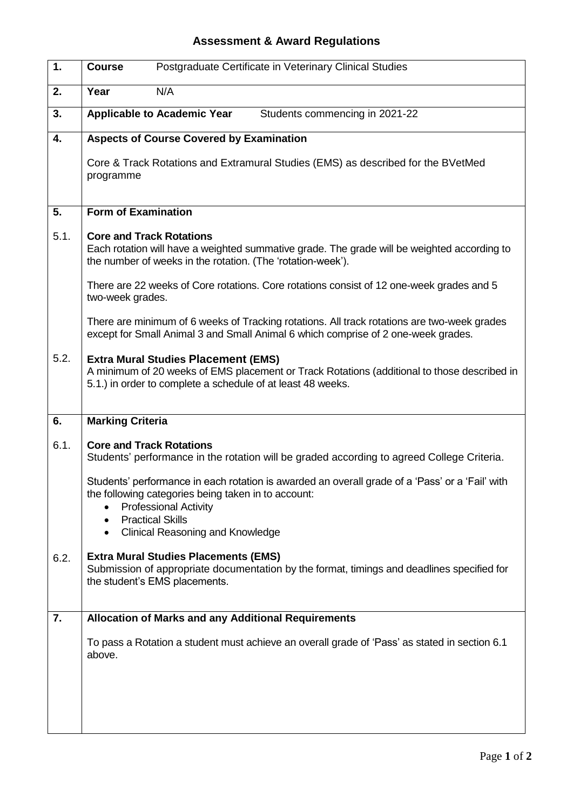## **Assessment & Award Regulations**

| 1.   | Postgraduate Certificate in Veterinary Clinical Studies<br><b>Course</b>                                                                                                                                                                                                                                      |
|------|---------------------------------------------------------------------------------------------------------------------------------------------------------------------------------------------------------------------------------------------------------------------------------------------------------------|
| 2.   | Year<br>N/A                                                                                                                                                                                                                                                                                                   |
| 3.   | <b>Applicable to Academic Year</b><br>Students commencing in 2021-22                                                                                                                                                                                                                                          |
| 4.   | <b>Aspects of Course Covered by Examination</b>                                                                                                                                                                                                                                                               |
|      | Core & Track Rotations and Extramural Studies (EMS) as described for the BVetMed<br>programme                                                                                                                                                                                                                 |
| 5.   | <b>Form of Examination</b>                                                                                                                                                                                                                                                                                    |
| 5.1. | <b>Core and Track Rotations</b><br>Each rotation will have a weighted summative grade. The grade will be weighted according to<br>the number of weeks in the rotation. (The 'rotation-week').<br>There are 22 weeks of Core rotations. Core rotations consist of 12 one-week grades and 5<br>two-week grades. |
|      | There are minimum of 6 weeks of Tracking rotations. All track rotations are two-week grades<br>except for Small Animal 3 and Small Animal 6 which comprise of 2 one-week grades.                                                                                                                              |
| 5.2. | <b>Extra Mural Studies Placement (EMS)</b><br>A minimum of 20 weeks of EMS placement or Track Rotations (additional to those described in<br>5.1.) in order to complete a schedule of at least 48 weeks.                                                                                                      |
| 6.   | <b>Marking Criteria</b>                                                                                                                                                                                                                                                                                       |
| 6.1. | <b>Core and Track Rotations</b><br>Students' performance in the rotation will be graded according to agreed College Criteria.                                                                                                                                                                                 |
|      | Students' performance in each rotation is awarded an overall grade of a 'Pass' or a 'Fail' with<br>the following categories being taken in to account:<br><b>Professional Activity</b><br><b>Practical Skills</b><br><b>Clinical Reasoning and Knowledge</b>                                                  |
| 6.2. | <b>Extra Mural Studies Placements (EMS)</b><br>Submission of appropriate documentation by the format, timings and deadlines specified for<br>the student's EMS placements.                                                                                                                                    |
| 7.   | <b>Allocation of Marks and any Additional Requirements</b>                                                                                                                                                                                                                                                    |
|      | To pass a Rotation a student must achieve an overall grade of 'Pass' as stated in section 6.1<br>above.                                                                                                                                                                                                       |
|      |                                                                                                                                                                                                                                                                                                               |